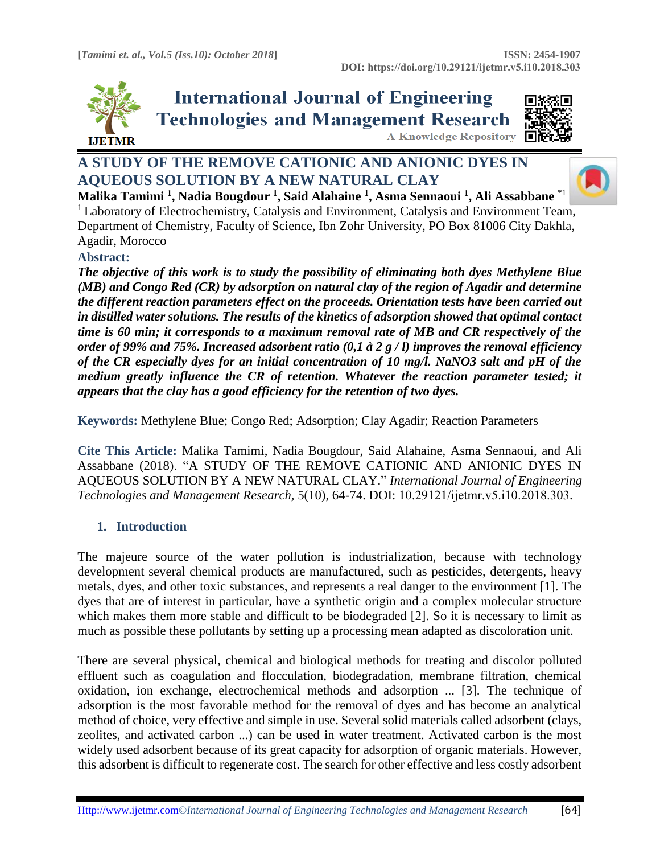**A Knowledge Repository** 



**International Journal of Engineering Technologies and Management Research** 



# **A STUDY OF THE REMOVE CATIONIC AND ANIONIC DYES IN AQUEOUS SOLUTION BY A NEW NATURAL CLAY**



**Malika Tamimi <sup>1</sup> , Nadia Bougdour <sup>1</sup> , Said Alahaine <sup>1</sup> , Asma Sennaoui <sup>1</sup> , Ali Assabbane** \*1 <sup>1</sup> Laboratory of Electrochemistry, Catalysis and Environment, Catalysis and Environment Team, Department of Chemistry, Faculty of Science, Ibn Zohr University, PO Box 81006 City Dakhla, Agadir, Morocco

## **Abstract:**

*The objective of this work is to study the possibility of eliminating both dyes Methylene Blue (MB) and Congo Red (CR) by adsorption on natural clay of the region of Agadir and determine the different reaction parameters effect on the proceeds. Orientation tests have been carried out in distilled water solutions. The results of the kinetics of adsorption showed that optimal contact time is 60 min; it corresponds to a maximum removal rate of MB and CR respectively of the order of 99% and 75%. Increased adsorbent ratio (0,1 à 2 g / l) improves the removal efficiency of the CR especially dyes for an initial concentration of 10 mg/l. NaNO3 salt and pH of the medium greatly influence the CR of retention. Whatever the reaction parameter tested; it appears that the clay has a good efficiency for the retention of two dyes.* 

**Keywords:** Methylene Blue; Congo Red; Adsorption; Clay Agadir; Reaction Parameters

**Cite This Article:** Malika Tamimi, Nadia Bougdour, Said Alahaine, Asma Sennaoui, and Ali Assabbane (2018). "A STUDY OF THE REMOVE CATIONIC AND ANIONIC DYES IN AQUEOUS SOLUTION BY A NEW NATURAL CLAY." *International Journal of Engineering Technologies and Management Research,* 5(10), 64-74. DOI: 10.29121/ijetmr.v5.i10.2018.303.

## **1. Introduction**

The majeure source of the water pollution is industrialization, because with technology development several chemical products are manufactured, such as pesticides, detergents, heavy metals, dyes, and other toxic substances, and represents a real danger to the environment [1]. The dyes that are of interest in particular, have a synthetic origin and a complex molecular structure which makes them more stable and difficult to be biodegraded [2]. So it is necessary to limit as much as possible these pollutants by setting up a processing mean adapted as discoloration unit.

There are several physical, chemical and biological methods for treating and discolor polluted effluent such as coagulation and flocculation, biodegradation, membrane filtration, chemical oxidation, ion exchange, electrochemical methods and adsorption ... [3]. The technique of adsorption is the most favorable method for the removal of dyes and has become an analytical method of choice, very effective and simple in use. Several solid materials called adsorbent (clays, zeolites, and activated carbon ...) can be used in water treatment. Activated carbon is the most widely used adsorbent because of its great capacity for adsorption of organic materials. However, this adsorbent is difficult to regenerate cost. The search for other effective and less costly adsorbent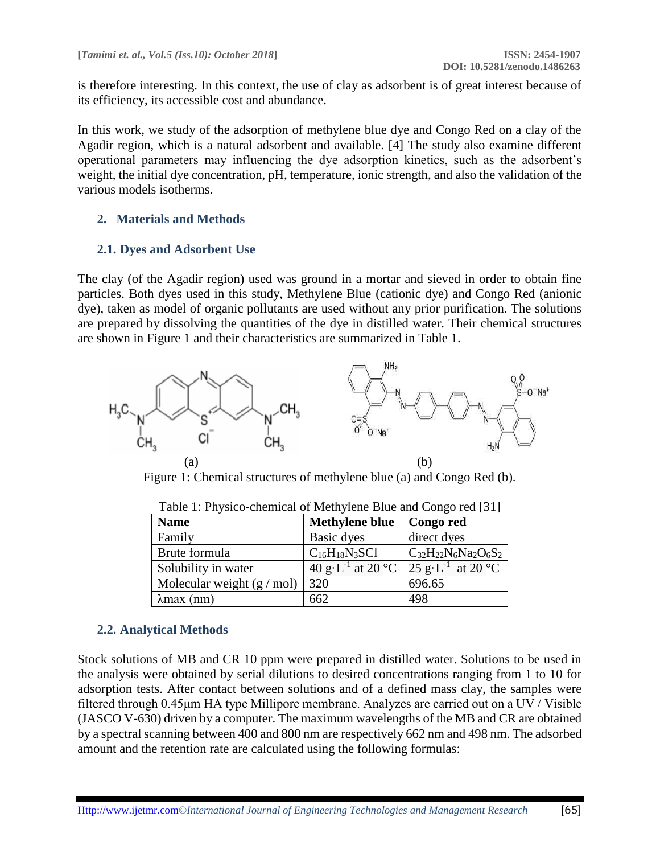is therefore interesting. In this context, the use of clay as adsorbent is of great interest because of its efficiency, its accessible cost and abundance.

In this work, we study of the adsorption of methylene blue dye and Congo Red on a clay of the Agadir region, which is a natural adsorbent and available. [4] The study also examine different operational parameters may influencing the dye adsorption kinetics, such as the adsorbent's weight, the initial dye concentration, pH, temperature, ionic strength, and also the validation of the various models isotherms.

#### **2. Materials and Methods**

#### **2.1. Dyes and Adsorbent Use**

The clay (of the Agadir region) used was ground in a mortar and sieved in order to obtain fine particles. Both dyes used in this study, Methylene Blue (cationic dye) and Congo Red (anionic dye), taken as model of organic pollutants are used without any prior purification. The solutions are prepared by dissolving the quantities of the dye in distilled water. Their chemical structures are shown in Figure 1 and their characteristics are summarized in Table 1.



Figure 1: Chemical structures of methylene blue (a) and Congo Red (b).

| <b>Name</b>                         | <b>Methylene blue</b>         | Congo red                     |  |  |  |  |
|-------------------------------------|-------------------------------|-------------------------------|--|--|--|--|
| Family                              | Basic dyes                    | direct dyes                   |  |  |  |  |
| Brute formula                       | $C_{16}H_{18}N_3SC1$          | $C_{32}H_{22}N_6Na_2O_6S_2$   |  |  |  |  |
| Solubility in water                 | 40 g·L <sup>-1</sup> at 20 °C | 25 g·L <sup>-1</sup> at 20 °C |  |  |  |  |
| Molecular weight $(g / \text{mol})$ | 320                           | 696.65                        |  |  |  |  |
| $\lambda$ max (nm)                  | 662                           | 498                           |  |  |  |  |

Table 1: Physico-chemical of Methylene Blue and Congo red [31]

## **2.2. Analytical Methods**

Stock solutions of MB and CR 10 ppm were prepared in distilled water. Solutions to be used in the analysis were obtained by serial dilutions to desired concentrations ranging from 1 to 10 for adsorption tests. After contact between solutions and of a defined mass clay, the samples were filtered through 0.45μm HA type Millipore membrane. Analyzes are carried out on a UV / Visible (JASCO V-630) driven by a computer. The maximum wavelengths of the MB and CR are obtained by a spectral scanning between 400 and 800 nm are respectively 662 nm and 498 nm. The adsorbed amount and the retention rate are calculated using the following formulas: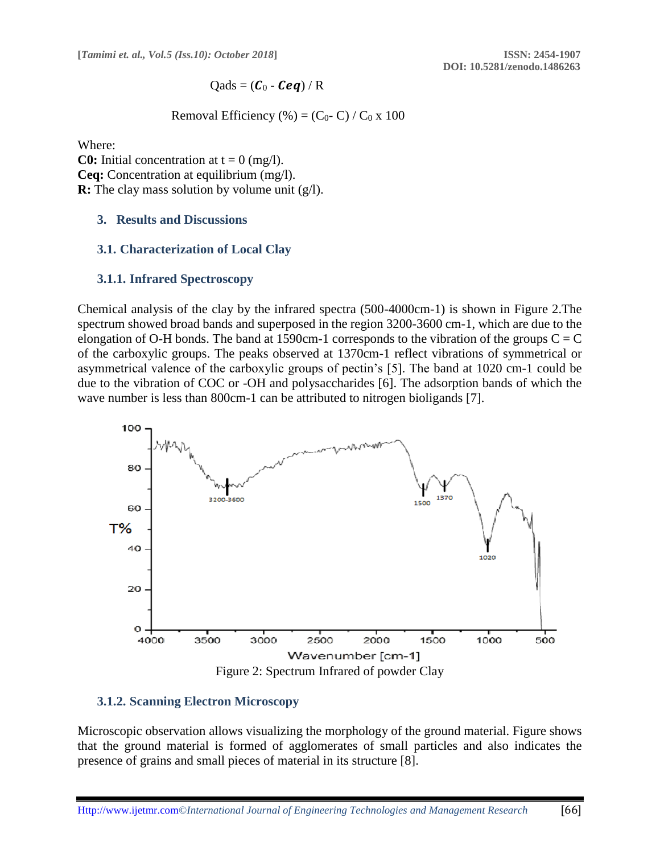$$
Qads = (\boldsymbol{C}_0 - \boldsymbol{Ceq}) / R
$$

Removal Efficiency (%) =  $(C_0$ - C) /  $C_0$  x 100

Where:

**C0:** Initial concentration at  $t = 0$  (mg/l). **Ceq:** Concentration at equilibrium (mg/l). **R:** The clay mass solution by volume unit (g/l).

#### **3. Results and Discussions**

#### **3.1. Characterization of Local Clay**

#### **3.1.1. Infrared Spectroscopy**

Chemical analysis of the clay by the infrared spectra (500-4000cm-1) is shown in Figure 2.The spectrum showed broad bands and superposed in the region 3200-3600 cm-1, which are due to the elongation of O-H bonds. The band at 1590cm-1 corresponds to the vibration of the groups  $C = C$ of the carboxylic groups. The peaks observed at 1370cm-1 reflect vibrations of symmetrical or asymmetrical valence of the carboxylic groups of pectin's [5]. The band at 1020 cm-1 could be due to the vibration of COC or -OH and polysaccharides [6]. The adsorption bands of which the wave number is less than 800cm-1 can be attributed to nitrogen bioligands [7].



#### **3.1.2. Scanning Electron Microscopy**

Microscopic observation allows visualizing the morphology of the ground material. Figure shows that the ground material is formed of agglomerates of small particles and also indicates the presence of grains and small pieces of material in its structure [8].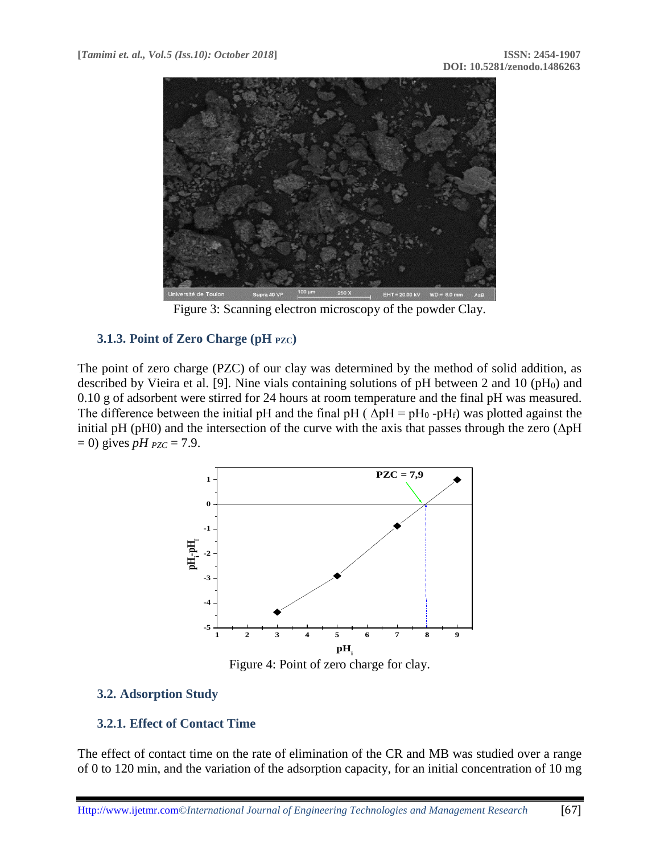

Figure 3: Scanning electron microscopy of the powder Clay.

## **3.1.3. Point of Zero Charge (pH PZC)**

The point of zero charge (PZC) of our clay was determined by the method of solid addition, as described by Vieira et al. [9]. Nine vials containing solutions of pH between 2 and 10 (pH<sub>0</sub>) and 0.10 g of adsorbent were stirred for 24 hours at room temperature and the final pH was measured. The difference between the initial pH and the final pH ( $\Delta pH = pH_0 - pH_f$ ) was plotted against the initial pH (pH0) and the intersection of the curve with the axis that passes through the zero ( $\Delta$ pH  $= 0$ ) gives *pH*  $_{PZC} = 7.9$ .



Figure 4: Point of zero charge for clay.

## **3.2. Adsorption Study**

## **3.2.1. Effect of Contact Time**

The effect of contact time on the rate of elimination of the CR and MB was studied over a range of 0 to 120 min, and the variation of the adsorption capacity, for an initial concentration of 10 mg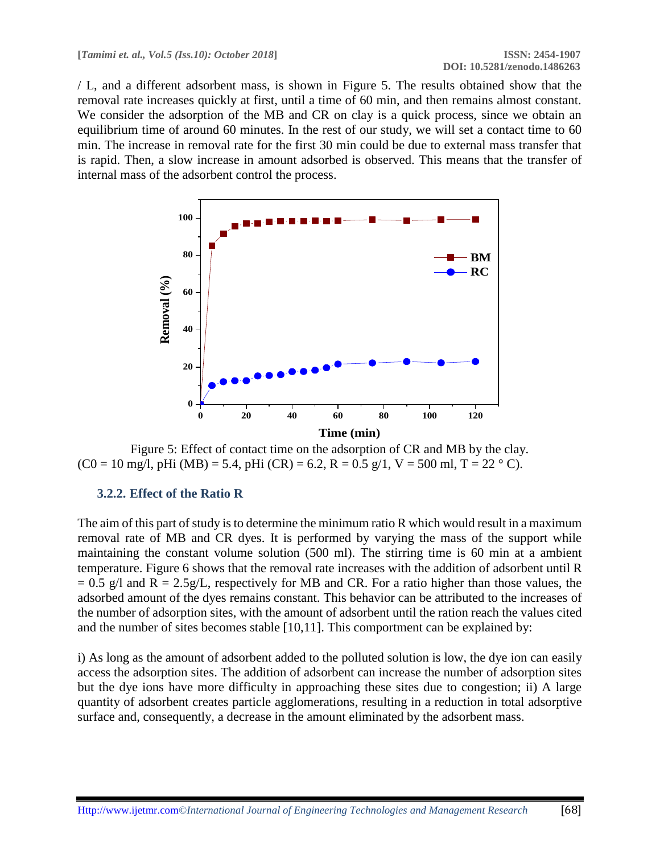/ L, and a different adsorbent mass, is shown in Figure 5. The results obtained show that the removal rate increases quickly at first, until a time of 60 min, and then remains almost constant. We consider the adsorption of the MB and CR on clay is a quick process, since we obtain an equilibrium time of around 60 minutes. In the rest of our study, we will set a contact time to 60 min. The increase in removal rate for the first 30 min could be due to external mass transfer that is rapid. Then, a slow increase in amount adsorbed is observed. This means that the transfer of internal mass of the adsorbent control the process.



Figure 5: Effect of contact time on the adsorption of CR and MB by the clay.  $(C0 = 10$  mg/l, pHi  $(MB) = 5.4$ , pHi  $(CR) = 6.2$ ,  $R = 0.5$  g/l,  $V = 500$  ml,  $T = 22$  ° C).

## **3.2.2. Effect of the Ratio R**

The aim of this part of study is to determine the minimum ratio R which would result in a maximum removal rate of MB and CR dyes. It is performed by varying the mass of the support while maintaining the constant volume solution (500 ml). The stirring time is 60 min at a ambient temperature. Figure 6 shows that the removal rate increases with the addition of adsorbent until R  $= 0.5$  g/l and R = 2.5g/L, respectively for MB and CR. For a ratio higher than those values, the adsorbed amount of the dyes remains constant. This behavior can be attributed to the increases [of](http://theconversation.com/le-cancer-peut-il-etre-du-a-la-malchance-76282) the number of adsorption sites, with the amount of adsorbent until the ration reach the values cited and the number of sites becomes stable [10,11]. This comportment can be explained by:

i) As long as the amount of adsorbent added to the polluted solution is low, the dye ion can easily access the adsorption sites. The addition of adsorbent can increase the number of adsorption sites but the dye ions have more difficulty in approaching these sites due to congestion; ii) A large quantity of adsorbent creates particle agglomerations, resulting in a reduction in total adsorptive surface and, consequently, a decrease in the amount eliminated by the adsorbent mass.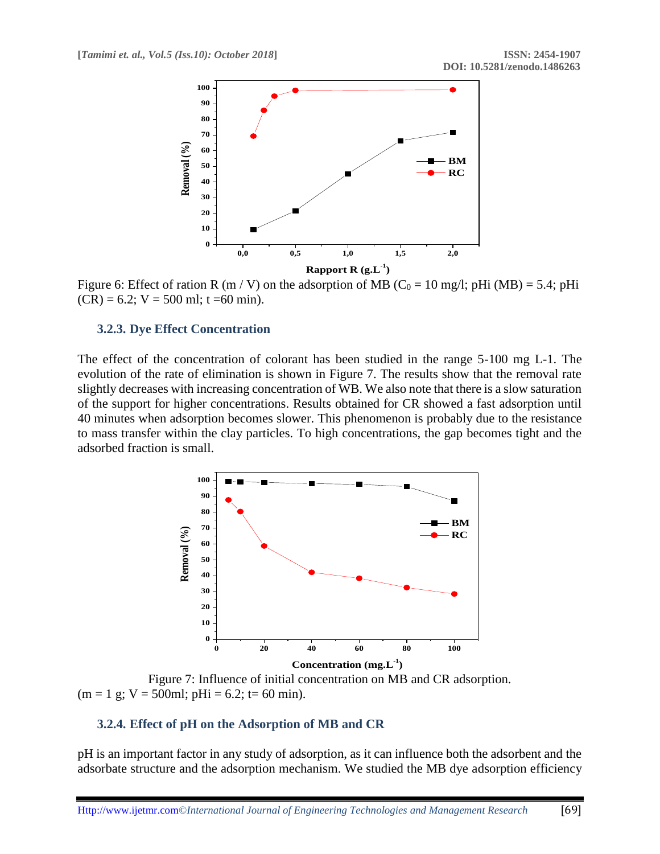

Figure 6: Effect of ration R (m / V) on the adsorption of MB ( $C_0 = 10$  mg/l; pHi (MB) = 5.4; pHi  $(CR) = 6.2$ ;  $V = 500$  ml; t =60 min).

#### **3.2.3. Dye Effect Concentration**

The effect of the concentration of colorant has been studied in the range 5-100 mg L-1. The evolution of the rate of elimination is shown in Figure 7. The results show that the removal rate slightly decreases with increasing concentration of WB. We also note that there is a slow saturation of the support for higher concentrations. Results obtained for CR showed a fast adsorption until 40 minutes when adsorption becomes slower. This phenomenon is probably due to the resistance to mass transfer within the clay particles. To high concentrations, the gap becomes tight and the adsorbed fraction is small.



Figure 7: Influence of initial concentration on MB and CR adsorption.  $(m = 1 \text{ g}; V = 500 \text{ml}; p\text{Hi} = 6.2; t = 60 \text{ min}).$ 

## **3.2.4. Effect of pH on the Adsorption of MB and CR**

pH is an important factor in any study of adsorption, as it can influence both the adsorbent and the adsorbate structure and the adsorption mechanism. We studied the MB dye adsorption efficiency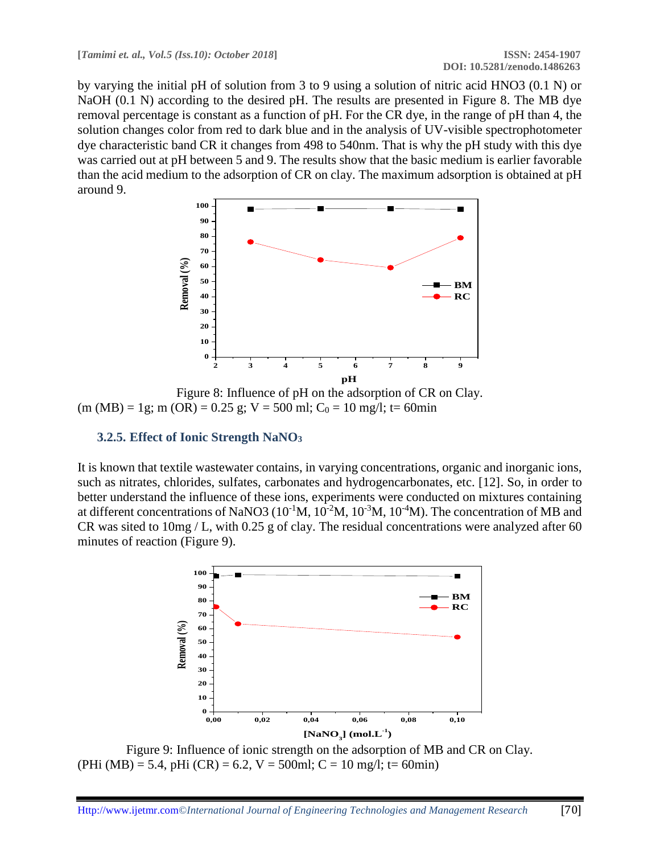by varying the initial pH of solution from 3 to 9 using a solution of nitric acid HNO3 (0.1 N) or NaOH (0.1 N) according to the desired pH. The results are presented in Figure 8. The MB dye removal percentage is constant as a function of pH. For the CR dye, in the range of pH than 4, the solution changes color from red to dark blue and in the analysis of UV-visible spectrophotometer dye characteristic band CR it changes from 498 to 540nm. That is why the pH study with this dye was carried out at pH between 5 and 9. The results show that the basic medium is earlier favorable than the acid medium to the adsorption of CR on clay. The maximum adsorption is obtained at pH around 9.



Figure 8: Influence of pH on the adsorption of CR on Clay.  $(m (MB) = 1g; m (OR) = 0.25 g; V = 500 ml; C<sub>0</sub> = 10 mg/l; t = 60 min$ 

## **3.2.5. Effect of Ionic Strength NaNO<sup>3</sup>**

It is known that textile wastewater contains, in varying concentrations, organic and inorganic ions, such as nitrates, chlorides, sulfates, carbonates and hydrogencarbonates, etc. [12]. So, in order to better understand the influence of these ions, experiments were conducted on mixtures containing at different concentrations of NaNO3 ( $10^{-1}M$ ,  $10^{-2}M$ ,  $10^{-3}M$ ,  $10^{-4}M$ ). The concentration of MB and CR was sited to 10mg / L, with 0.25 g of clay. The residual concentrations were analyzed after 60 minutes of reaction (Figure 9).



Figure 9: Influence of ionic strength on the adsorption of MB and CR on Clay. (PHi (MB) = 5.4, pHi (CR) = 6.2, V = 500ml; C = 10 mg/l; t= 60min)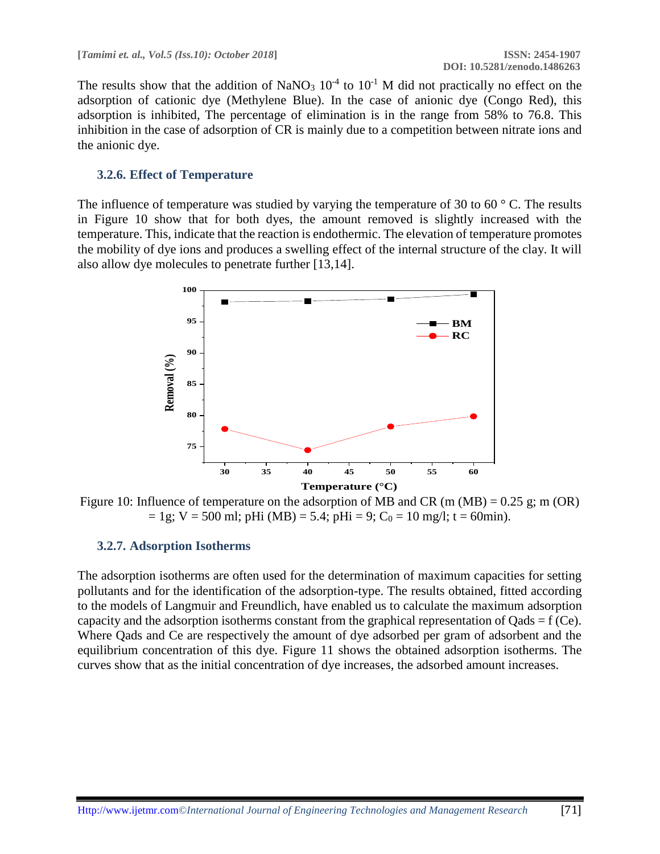The results show that the addition of NaNO<sub>3</sub>  $10^{-4}$  to  $10^{-1}$  M did not practically no effect on the adsorption of cationic dye (Methylene Blue). In the case of anionic dye (Congo Red), this adsorption is inhibited, The percentage of elimination is in the range from 58% to 76.8. This inhibition in the case of adsorption of CR is mainly due to a competition between nitrate ions and the anionic dye.

#### **3.2.6. Effect of Temperature**

The influence of temperature was studied by varying the temperature of 30 to 60  $\degree$  C. The results in Figure 10 show that for both dyes, the amount removed is slightly increased with the temperature. This, indicate that the reaction is endothermic. The elevation of temperature promotes the mobility of dye ions and produces a swelling effect of the internal structure of the clay. It will also allow dye molecules to penetrate further [13,14].



Figure 10: Influence of temperature on the adsorption of MB and CR (m (MB) =  $0.25$  g; m (OR)  $= 1g$ ; V = 500 ml; pHi (MB) = 5.4; pHi = 9; C<sub>0</sub> = 10 mg/l; t = 60min).

#### **3.2.7. Adsorption Isotherms**

The adsorption isotherms are often used for the determination of maximum capacities for setting pollutants and for the identification of the adsorption-type. The results obtained, fitted according to the models of Langmuir and Freundlich, have enabled us to calculate the maximum adsorption capacity and the adsorption isotherms constant from the graphical representation of  $Qads = f (Ce)$ . Where Qads and Ce are respectively the amount of dye adsorbed per gram of adsorbent and the equilibrium concentration of this dye. Figure 11 shows the obtained adsorption isotherms. The curves show that as the initial concentration of dye increases, the adsorbed amount increases.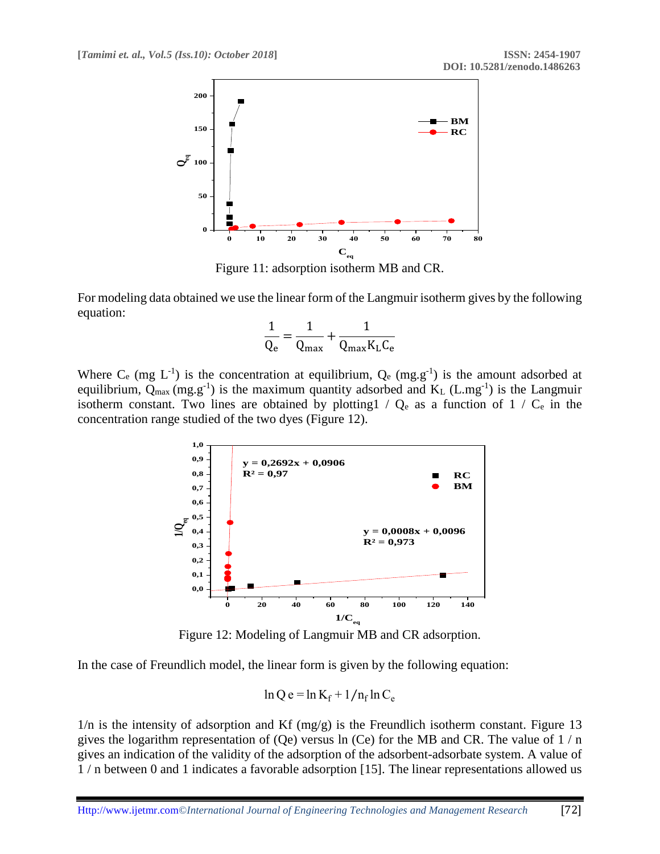

Figure 11: adsorption isotherm MB and CR.

For modeling data obtained we use the linear form of the Langmuir isotherm gives by the following equation:

$$
\frac{1}{Q_e} = \frac{1}{Q_{max}} + \frac{1}{Q_{max}K_LC_e}
$$

Where  $C_e$  (mg  $L^{-1}$ ) is the concentration at equilibrium,  $Q_e$  (mg.g<sup>-1</sup>) is the amount adsorbed at equilibrium,  $Q_{max}$  (mg.g<sup>-1</sup>) is the maximum quantity adsorbed and  $K_L$  (L.mg<sup>-1</sup>) is the Langmuir isotherm constant. Two lines are obtained by plotting1 /  $Q_e$  as a function of 1 /  $C_e$  in the concentration range studied of the two dyes (Figure 12).



Figure 12: Modeling of Langmuir MB and CR adsorption.

In the case of Freundlich model, the linear form is given by the following equation:

$$
\ln Q e = \ln K_f + 1/n_f \ln C_e
$$

 $1/n$  is the intensity of adsorption and Kf (mg/g) is the Freundlich isotherm constant. Figure 13 gives the logarithm representation of (Qe) versus  $\ln$  (Ce) for the MB and CR. The value of  $1/n$ gives an indication of the validity of the adsorption of the adsorbent-adsorbate system. A value of 1 / n between 0 and 1 indicates a favorable adsorption [15]. The linear representations allowed us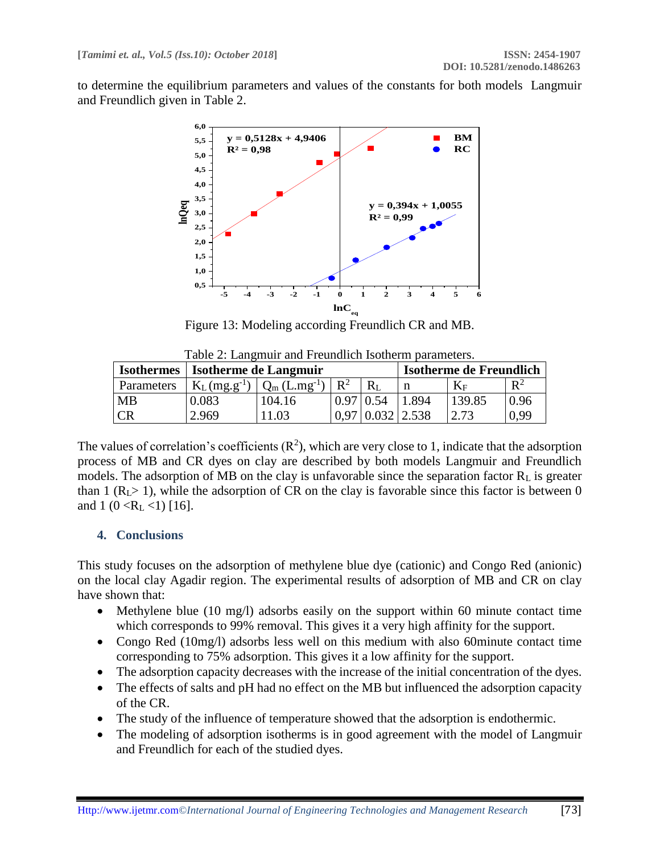to determine the equilibrium parameters and values of the constants for both models Langmuir and Freundlich given in Table 2.



Figure 13: Modeling according Freundlich CR and MB.

| <b>Isothermes</b> | Isotherme de Langmuir |                            |                |         | Isotherme de Freundlich |           |       |
|-------------------|-----------------------|----------------------------|----------------|---------|-------------------------|-----------|-------|
| Parameters        | $K_L(mg.g^{-1})$      | $Q_m$ (L.mg <sup>-1)</sup> | $\mathbf{D}^2$ | $R_{I}$ |                         | $\rm K_F$ | $R^2$ |
| <b>MB</b>         | ).083                 | 104.16                     |                |         | .894                    | 139.85    | 0.96  |
| CR                | 2.969                 | $\Omega$                   |                |         | 2.538                   |           | ገ 99  |

Table 2: Langmuir and Freundlich Isotherm parameters.

The values of correlation's coefficients  $(R^2)$ , which are very close to 1, indicate that the adsorption process of MB and CR dyes on clay are described by both models Langmuir and Freundlich models. The adsorption of MB on the clay is unfavorable since the separation factor  $R<sub>L</sub>$  is greater than 1 ( $R<sub>L</sub>$  ), while the adsorption of CR on the clay is favorable since this factor is between 0 and 1 (0 <R<sub>L</sub> <1) [16].

#### **4. Conclusions**

This study focuses on the adsorption of methylene blue dye (cationic) and Congo Red (anionic) on the local clay Agadir region. The experimental results of adsorption of MB and CR on clay have shown that:

- Methylene blue (10 mg/l) adsorbs easily on the support within 60 minute contact time which corresponds to 99% removal. This gives it a very high affinity for the support.
- Congo Red (10mg/l) adsorbs less well on this medium with also 60minute contact time corresponding to 75% adsorption. This gives it a low affinity for the support.
- The adsorption capacity decreases with the increase of the initial concentration of the dyes.
- The effects of salts and pH had no effect on the MB but influenced the adsorption capacity of the CR.
- The study of the influence of temperature showed that the adsorption is endothermic.
- The modeling of adsorption isotherms is in good agreement with the model of Langmuir and Freundlich for each of the studied dyes.